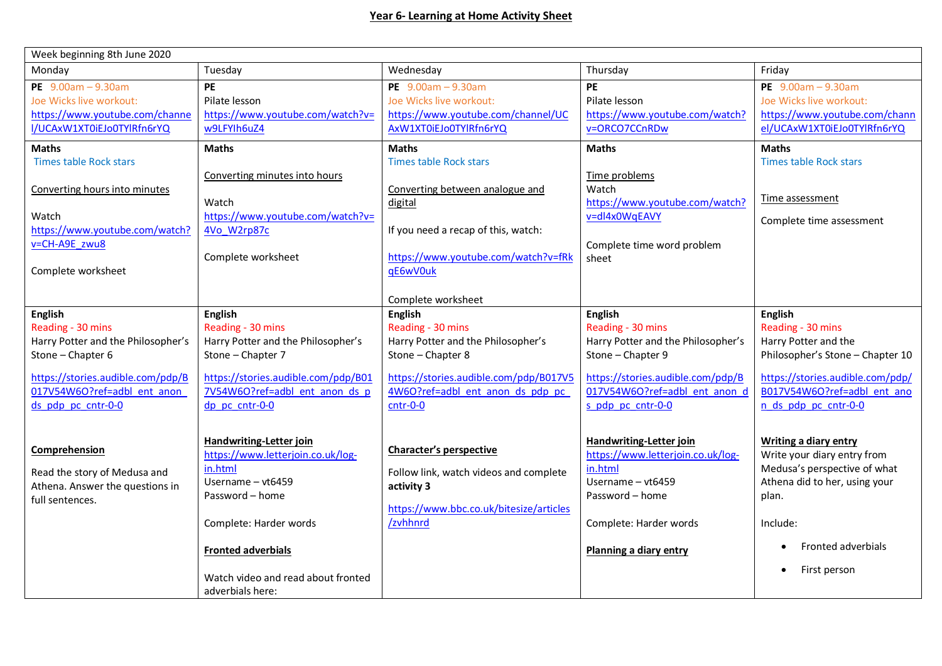| Week beginning 8th June 2020       |                                     |                                         |                                    |                                  |  |  |  |
|------------------------------------|-------------------------------------|-----------------------------------------|------------------------------------|----------------------------------|--|--|--|
| Monday                             | Tuesday                             | Wednesday                               | Thursday                           | Friday                           |  |  |  |
| PE $9.00am - 9.30am$               | PE                                  | PE $9.00am - 9.30am$                    | <b>PE</b>                          | PE $9.00am - 9.30am$             |  |  |  |
| Joe Wicks live workout:            | Pilate lesson                       | Joe Wicks live workout:                 | Pilate lesson                      | Joe Wicks live workout:          |  |  |  |
| https://www.youtube.com/channe     | https://www.youtube.com/watch?v=    | https://www.youtube.com/channel/UC      | https://www.youtube.com/watch?     | https://www.youtube.com/chann    |  |  |  |
| I/UCAxW1XT0iEJo0TYlRfn6rYQ         | w9LFYIh6uZ4                         | AxW1XT0iEJo0TYlRfn6rYQ                  | v=ORCO7CCnRDw                      | el/UCAxW1XT0iEJo0TYlRfn6rYQ      |  |  |  |
| <b>Maths</b>                       | <b>Maths</b>                        | <b>Maths</b>                            | <b>Maths</b>                       | <b>Maths</b>                     |  |  |  |
| <b>Times table Rock stars</b>      |                                     | <b>Times table Rock stars</b>           |                                    | <b>Times table Rock stars</b>    |  |  |  |
|                                    | Converting minutes into hours       |                                         | Time problems                      |                                  |  |  |  |
| Converting hours into minutes      |                                     | Converting between analogue and         | Watch                              |                                  |  |  |  |
|                                    | Watch                               | digital                                 | https://www.youtube.com/watch?     | Time assessment                  |  |  |  |
| Watch                              | https://www.youtube.com/watch?v=    |                                         | v=dl4x0WqEAVY                      | Complete time assessment         |  |  |  |
| https://www.youtube.com/watch?     | 4Vo W2rp87c                         | If you need a recap of this, watch:     |                                    |                                  |  |  |  |
| v=CH-A9E zwu8                      |                                     |                                         | Complete time word problem         |                                  |  |  |  |
|                                    | Complete worksheet                  | https://www.youtube.com/watch?v=fRk     | sheet                              |                                  |  |  |  |
| Complete worksheet                 |                                     | qE6wV0uk                                |                                    |                                  |  |  |  |
|                                    |                                     |                                         |                                    |                                  |  |  |  |
|                                    |                                     | Complete worksheet                      |                                    |                                  |  |  |  |
| <b>English</b>                     | <b>English</b>                      | <b>English</b>                          | <b>English</b>                     | <b>English</b>                   |  |  |  |
| Reading - 30 mins                  | Reading - 30 mins                   | Reading - 30 mins                       | Reading - 30 mins                  | Reading - 30 mins                |  |  |  |
| Harry Potter and the Philosopher's | Harry Potter and the Philosopher's  | Harry Potter and the Philosopher's      | Harry Potter and the Philosopher's | Harry Potter and the             |  |  |  |
| Stone - Chapter 6                  | Stone - Chapter 7                   | Stone - Chapter 8                       | Stone - Chapter 9                  | Philosopher's Stone - Chapter 10 |  |  |  |
| https://stories.audible.com/pdp/B  | https://stories.audible.com/pdp/B01 | https://stories.audible.com/pdp/B017V5  | https://stories.audible.com/pdp/B  | https://stories.audible.com/pdp/ |  |  |  |
| 017V54W6O?ref=adbl ent anon        | 7V54W6O?ref=adbl ent anon ds p      | 4W6O?ref=adbl ent anon ds pdp pc        | 017V54W6O?ref=adbl ent anon d      | B017V54W6O?ref=adbl ent ano      |  |  |  |
| ds pdp pc cntr-0-0                 | dp pc cntr-0-0                      | $cntr-0-0$                              | s pdp pc cntr-0-0                  | n ds pdp pc cntr-0-0             |  |  |  |
|                                    |                                     |                                         |                                    |                                  |  |  |  |
|                                    | Handwriting-Letter join             |                                         | Handwriting-Letter join            | Writing a diary entry            |  |  |  |
| Comprehension                      | https://www.letterjoin.co.uk/log-   | Character's perspective                 | https://www.letterjoin.co.uk/log-  | Write your diary entry from      |  |  |  |
|                                    | in.html                             |                                         | in.html                            | Medusa's perspective of what     |  |  |  |
| Read the story of Medusa and       | Username - vt6459                   | Follow link, watch videos and complete  | Username - vt6459                  | Athena did to her, using your    |  |  |  |
| Athena. Answer the questions in    | Password - home                     | activity 3                              | Password - home                    | plan.                            |  |  |  |
| full sentences.                    |                                     | https://www.bbc.co.uk/bitesize/articles |                                    |                                  |  |  |  |
|                                    | Complete: Harder words              | /zvhhnrd                                | Complete: Harder words             | Include:                         |  |  |  |
|                                    |                                     |                                         |                                    |                                  |  |  |  |
|                                    | <b>Fronted adverbials</b>           |                                         | Planning a diary entry             | Fronted adverbials               |  |  |  |
|                                    |                                     |                                         |                                    | $\bullet$                        |  |  |  |
|                                    | Watch video and read about fronted  |                                         |                                    | First person                     |  |  |  |
|                                    | adverbials here:                    |                                         |                                    |                                  |  |  |  |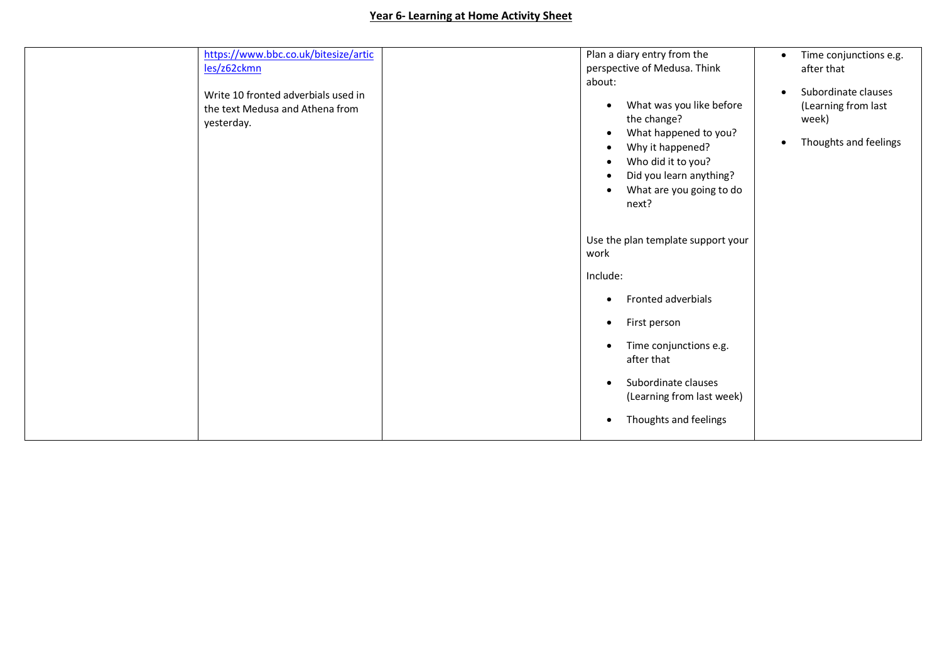## **Year 6- Learning at Home Activity Sheet**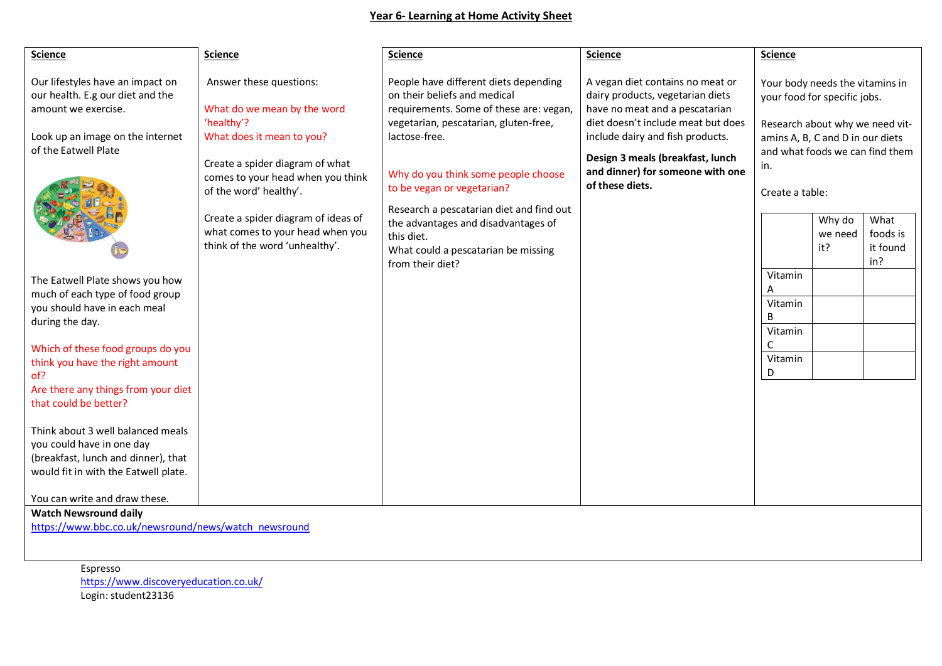## **Year 6- Learning at Home Activity Sheet**

| <b>Science</b>                                                                                                                                                                                                                                                                                                                                                                                                                                                                                                                                                                   | <b>Science</b>                                                                                                                                                                                                                                                                                                   | <b>Science</b>                                                                                                                                                                                                                                                                                                                                                                                              | <b>Science</b>                                                                                                                                                                                                                                                              | <b>Science</b>                                                                                                                                                                                                                                                                                                               |  |  |  |  |
|----------------------------------------------------------------------------------------------------------------------------------------------------------------------------------------------------------------------------------------------------------------------------------------------------------------------------------------------------------------------------------------------------------------------------------------------------------------------------------------------------------------------------------------------------------------------------------|------------------------------------------------------------------------------------------------------------------------------------------------------------------------------------------------------------------------------------------------------------------------------------------------------------------|-------------------------------------------------------------------------------------------------------------------------------------------------------------------------------------------------------------------------------------------------------------------------------------------------------------------------------------------------------------------------------------------------------------|-----------------------------------------------------------------------------------------------------------------------------------------------------------------------------------------------------------------------------------------------------------------------------|------------------------------------------------------------------------------------------------------------------------------------------------------------------------------------------------------------------------------------------------------------------------------------------------------------------------------|--|--|--|--|
| Our lifestyles have an impact on<br>our health. E.g our diet and the<br>amount we exercise.<br>Look up an image on the internet<br>of the Eatwell Plate<br>The Eatwell Plate shows you how<br>much of each type of food group<br>you should have in each meal<br>during the day.<br>Which of these food groups do you<br>think you have the right amount<br>of?<br>Are there any things from your diet<br>that could be better?<br>Think about 3 well balanced meals<br>you could have in one day<br>(breakfast, lunch and dinner), that<br>would fit in with the Eatwell plate. | Answer these questions:<br>What do we mean by the word<br>'healthy'?<br>What does it mean to you?<br>Create a spider diagram of what<br>comes to your head when you think<br>of the word' healthy'.<br>Create a spider diagram of ideas of<br>what comes to your head when you<br>think of the word 'unhealthy'. | People have different diets depending<br>on their beliefs and medical<br>requirements. Some of these are: vegan,<br>vegetarian, pescatarian, gluten-free,<br>lactose-free.<br>Why do you think some people choose<br>to be vegan or vegetarian?<br>Research a pescatarian diet and find out<br>the advantages and disadvantages of<br>this diet.<br>What could a pescatarian be missing<br>from their diet? | A vegan diet contains no meat or<br>dairy products, vegetarian diets<br>have no meat and a pescatarian<br>diet doesn't include meat but does<br>include dairy and fish products.<br>Design 3 meals (breakfast, lunch<br>and dinner) for someone with one<br>of these diets. | Your body needs the vitamins in<br>your food for specific jobs.<br>Research about why we need vit-<br>amins A, B, C and D in our diets<br>and what foods we can find them<br>in.<br>Create a table:<br>What<br>Why do<br>foods is<br>we need<br>it?<br>it found<br>in?<br>Vitamin<br>Vitamin<br>B<br>Vitamin<br>Vitamin<br>D |  |  |  |  |
| You can write and draw these.<br><b>Watch Newsround daily</b><br>https://www.bbc.co.uk/newsround/news/watch_newsround                                                                                                                                                                                                                                                                                                                                                                                                                                                            |                                                                                                                                                                                                                                                                                                                  |                                                                                                                                                                                                                                                                                                                                                                                                             |                                                                                                                                                                                                                                                                             |                                                                                                                                                                                                                                                                                                                              |  |  |  |  |
|                                                                                                                                                                                                                                                                                                                                                                                                                                                                                                                                                                                  |                                                                                                                                                                                                                                                                                                                  |                                                                                                                                                                                                                                                                                                                                                                                                             |                                                                                                                                                                                                                                                                             |                                                                                                                                                                                                                                                                                                                              |  |  |  |  |

Espresso <https://www.discoveryeducation.co.uk/> Login: student23136